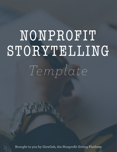# NONPROFIT STORYTELLING

*Template*

**Brought to you by GiveGab, the Nonprofit Giving Platform**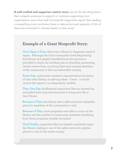**A well-crafted and supporter-centric story** can be the deciding factor that compels someone to support or continue supporting your organization: more than half of nonprofit supporters report that reading a compelling story motivates them to take action and upwards of 70% of them are motivated to donate based on that story!

## **Example of a Great Nonprofit Story:**

**Once Upon a Time**, there was a library in desperate need of repair. Although the local community loved frequenting this library and greatly benefited from the services it provided to them, the building was in shambles, preventing certain events from occurring there and causing members of the community to feel uncomfortable visiting.

**Every Day**, community members inquired about the status of their dear library, wondering when - if ever - it would receive the repairs it so desperately needed.

**Then One Day**, kindhearted supporters like you showed up and gifted their time and resources to bring new life to their library.

**Because of That**, the library was a safer and more enjoyable place for members of the community to visit.

**Because of That**, more programs were able to occur at the library and the number of community members benefiting from these programs steadily increased.

**Until Finally**, supporters like you helped completely repair the library, making it one of the safest and most popular places to visit in the entire county!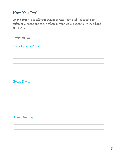# **Now You Try!**

Print pages 3-4 to tell your own nonprofit story! Feel free to try a few different versions and to ask others in your organization to try their hand at it as well!

**Revision No.**

#### **Once Upon a Time...**

#### **Every Day...**

**Then One Day...**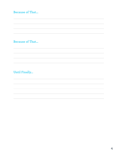## **Because of That...**

#### **Because of That...**

## **Until Finally...**